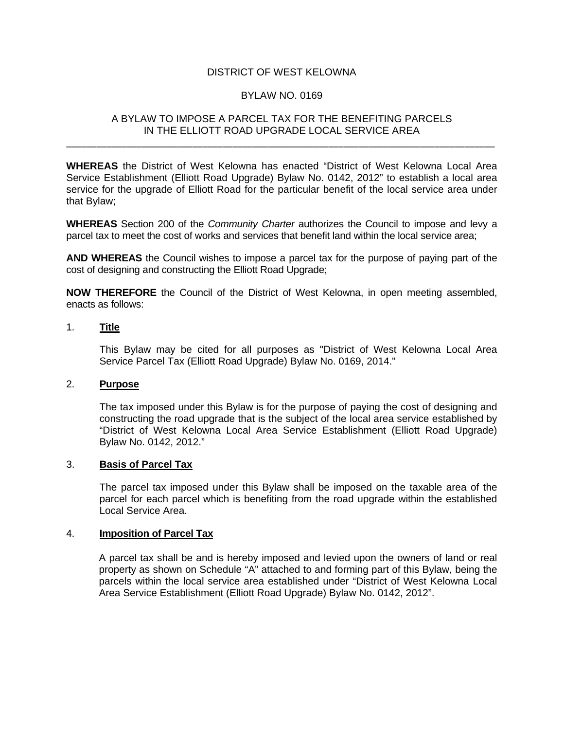# DISTRICT OF WEST KELOWNA

# BYLAW NO. 0169

# A BYLAW TO IMPOSE A PARCEL TAX FOR THE BENEFITING PARCELS IN THE ELLIOTT ROAD UPGRADE LOCAL SERVICE AREA

\_\_\_\_\_\_\_\_\_\_\_\_\_\_\_\_\_\_\_\_\_\_\_\_\_\_\_\_\_\_\_\_\_\_\_\_\_\_\_\_\_\_\_\_\_\_\_\_\_\_\_\_\_\_\_\_\_\_\_\_\_\_\_\_\_\_\_\_\_\_\_\_\_\_\_\_\_\_\_\_\_\_\_\_\_

**WHEREAS** the District of West Kelowna has enacted "District of West Kelowna Local Area Service Establishment (Elliott Road Upgrade) Bylaw No. 0142, 2012" to establish a local area service for the upgrade of Elliott Road for the particular benefit of the local service area under that Bylaw;

**WHEREAS** Section 200 of the *Community Charter* authorizes the Council to impose and levy a parcel tax to meet the cost of works and services that benefit land within the local service area;

**AND WHEREAS** the Council wishes to impose a parcel tax for the purpose of paying part of the cost of designing and constructing the Elliott Road Upgrade;

**NOW THEREFORE** the Council of the District of West Kelowna, in open meeting assembled, enacts as follows:

# 1. **Title**

This Bylaw may be cited for all purposes as "District of West Kelowna Local Area Service Parcel Tax (Elliott Road Upgrade) Bylaw No. 0169, 2014."

#### 2. **Purpose**

The tax imposed under this Bylaw is for the purpose of paying the cost of designing and constructing the road upgrade that is the subject of the local area service established by "District of West Kelowna Local Area Service Establishment (Elliott Road Upgrade) Bylaw No. 0142, 2012."

#### 3. **Basis of Parcel Tax**

The parcel tax imposed under this Bylaw shall be imposed on the taxable area of the parcel for each parcel which is benefiting from the road upgrade within the established Local Service Area.

#### 4. **Imposition of Parcel Tax**

A parcel tax shall be and is hereby imposed and levied upon the owners of land or real property as shown on Schedule "A" attached to and forming part of this Bylaw, being the parcels within the local service area established under "District of West Kelowna Local Area Service Establishment (Elliott Road Upgrade) Bylaw No. 0142, 2012".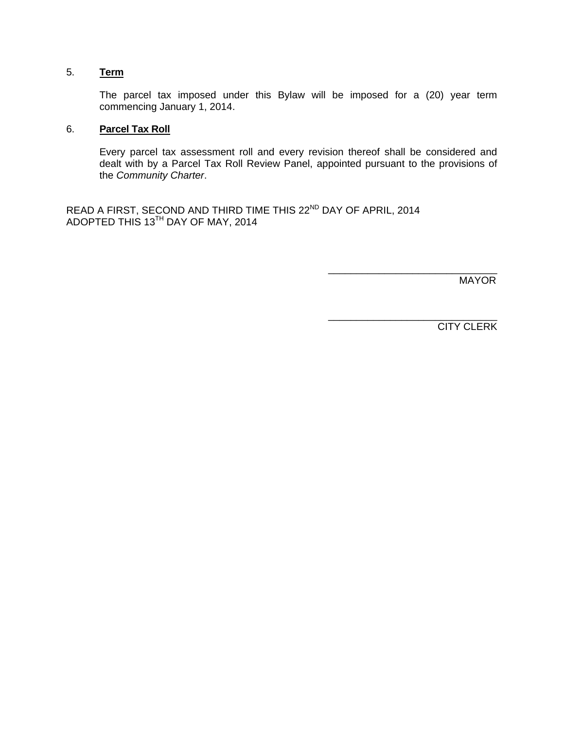# 5. **Term**

 The parcel tax imposed under this Bylaw will be imposed for a (20) year term commencing January 1, 2014.

# 6. **Parcel Tax Roll**

Every parcel tax assessment roll and every revision thereof shall be considered and dealt with by a Parcel Tax Roll Review Panel, appointed pursuant to the provisions of the *Community Charter*.

 $\frac{1}{2}$  ,  $\frac{1}{2}$  ,  $\frac{1}{2}$  ,  $\frac{1}{2}$  ,  $\frac{1}{2}$  ,  $\frac{1}{2}$  ,  $\frac{1}{2}$  ,  $\frac{1}{2}$  ,  $\frac{1}{2}$  ,  $\frac{1}{2}$  ,  $\frac{1}{2}$  ,  $\frac{1}{2}$  ,  $\frac{1}{2}$  ,  $\frac{1}{2}$  ,  $\frac{1}{2}$  ,  $\frac{1}{2}$  ,  $\frac{1}{2}$  ,  $\frac{1}{2}$  ,  $\frac{1$ 

READ A FIRST, SECOND AND THIRD TIME THIS 22<sup>ND</sup> DAY OF APRIL, 2014 ADOPTED THIS 13TH DAY OF MAY, 2014

MAYOR

CITY CLERK

\_\_\_\_\_\_\_\_\_\_\_\_\_\_\_\_\_\_\_\_\_\_\_\_\_\_\_\_\_\_